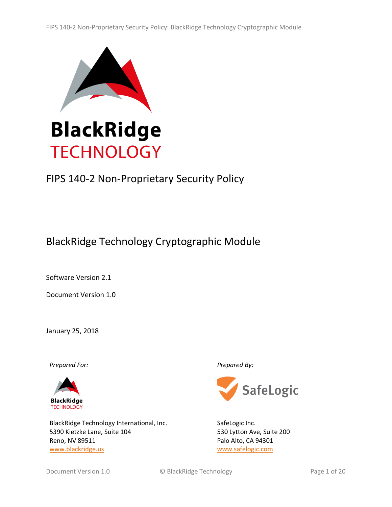

# FIPS 140-2 Non-Proprietary Security Policy

BlackRidge Technology Cryptographic Module

Software Version 2.1

Document Version 1.0

January 25, 2018

*Prepared For: Prepared By:*



BlackRidge Technology International, Inc. [5390 Kietzke Lane,](https://maps.google.com/?q=5390+Kietzke+Lane+%0D+*Suite+104+*%0D+*Reno,+NV+89511*&entry=gmail&source=g) [Suite 104](https://maps.google.com/?q=5390+Kietzke+Lane+%0D+*Suite+104+*%0D+*Reno,+NV+89511*&entry=gmail&source=g) [Reno, NV 89511](https://maps.google.com/?q=5390+Kietzke+Lane+%0D+*Suite+104+*%0D+*Reno,+NV+89511*&entry=gmail&source=g) [www.blackridge.us](http://www.blackridge.us/)



SafeLogic Inc. 530 Lytton Ave, Suite 200 Palo Alto, CA 94301 [www.safelogic.com](http://www.safelogic.com/)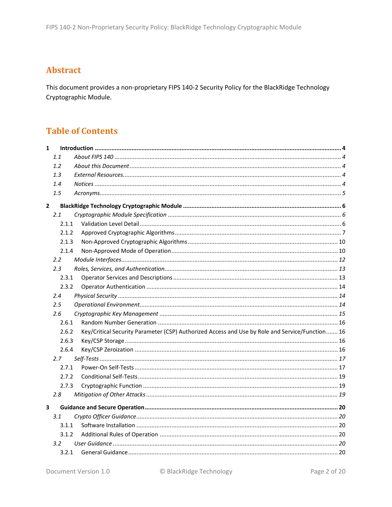# **Abstract**

This document provides a non-proprietary FIPS 140-2 Security Policy for the BlackRidge Technology Cryptographic Module.

# **Table of Contents**

| $\mathbf{1}$            |       |                                                                                                  |  |
|-------------------------|-------|--------------------------------------------------------------------------------------------------|--|
|                         | 1.1   |                                                                                                  |  |
|                         | 1.2   |                                                                                                  |  |
|                         | 1.3   |                                                                                                  |  |
|                         | 1.4   |                                                                                                  |  |
|                         | 1.5   |                                                                                                  |  |
| $\overline{2}$          |       |                                                                                                  |  |
|                         | 2.1   |                                                                                                  |  |
|                         | 2.1.1 |                                                                                                  |  |
|                         | 2.1.2 |                                                                                                  |  |
|                         | 2.1.3 |                                                                                                  |  |
|                         | 2.1.4 |                                                                                                  |  |
|                         | 2.2   |                                                                                                  |  |
|                         | 2.3   |                                                                                                  |  |
|                         | 2.3.1 |                                                                                                  |  |
|                         | 2.3.2 |                                                                                                  |  |
|                         | 2.4   |                                                                                                  |  |
|                         | 2.5   |                                                                                                  |  |
|                         | 2.6   |                                                                                                  |  |
|                         | 2.6.1 |                                                                                                  |  |
|                         | 2.6.2 | Key/Critical Security Parameter (CSP) Authorized Access and Use by Role and Service/Function  16 |  |
|                         | 2.6.3 |                                                                                                  |  |
|                         | 2.6.4 |                                                                                                  |  |
|                         | 2.7   |                                                                                                  |  |
|                         | 2.7.1 |                                                                                                  |  |
|                         | 2.7.2 |                                                                                                  |  |
|                         | 2.7.3 |                                                                                                  |  |
|                         | 2.8   |                                                                                                  |  |
| $\overline{\mathbf{3}}$ |       |                                                                                                  |  |
|                         | 3.1   |                                                                                                  |  |
|                         | 3.1.1 |                                                                                                  |  |
|                         | 3.1.2 |                                                                                                  |  |
|                         | 3.2   |                                                                                                  |  |
|                         | 3.2.1 |                                                                                                  |  |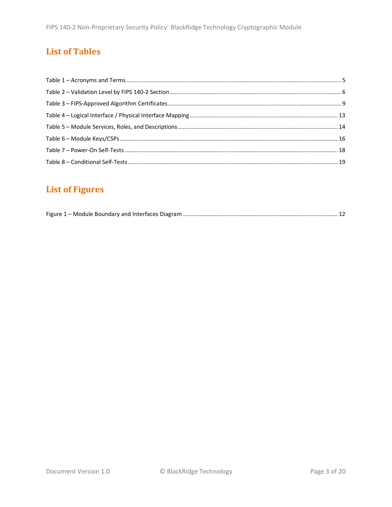# **List of Tables**

# **List of Figures**

|--|--|--|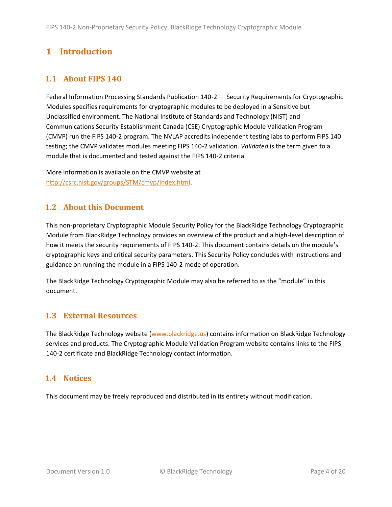# <span id="page-3-0"></span>**1 Introduction**

# <span id="page-3-1"></span>**1.1 About FIPS 140**

Federal Information Processing Standards Publication 140-2 — Security Requirements for Cryptographic Modules specifies requirements for cryptographic modules to be deployed in a Sensitive but Unclassified environment. The National Institute of Standards and Technology (NIST) and Communications Security Establishment Canada (CSE) Cryptographic Module Validation Program (CMVP) run the FIPS 140-2 program. The NVLAP accredits independent testing labs to perform FIPS 140 testing; the CMVP validates modules meeting FIPS 140-2 validation. *Validated* is the term given to a module that is documented and tested against the FIPS 140-2 criteria.

More information is available on the CMVP website at [http://csrc.nist.gov/groups/STM/cmvp/index.html.](http://csrc.nist.gov/groups/STM/cmvp/index.html)

# <span id="page-3-2"></span>**1.2 About this Document**

This non-proprietary Cryptographic Module Security Policy for the BlackRidge Technology Cryptographic Module from BlackRidge Technology provides an overview of the product and a high-level description of how it meets the security requirements of FIPS 140-2. This document contains details on the module's cryptographic keys and critical security parameters. This Security Policy concludes with instructions and guidance on running the module in a FIPS 140-2 mode of operation.

The BlackRidge Technology Cryptographic Module may also be referred to as the "module" in this document.

### <span id="page-3-3"></span>**1.3 External Resources**

The BlackRidge Technology website [\(www.blackridge.us\)](http://www.blackridge.us/) contains information on BlackRidge Technology services and products. The Cryptographic Module Validation Program website contains links to the FIPS 140-2 certificate and BlackRidge Technology contact information.

### <span id="page-3-4"></span>**1.4 Notices**

This document may be freely reproduced and distributed in its entirety without modification.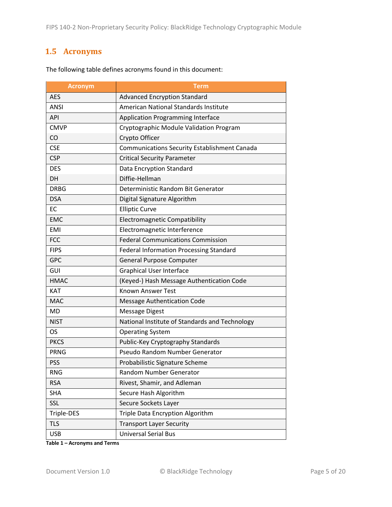# <span id="page-4-0"></span>**1.5 Acronyms**

| <b>Acronym</b> | <b>Term</b>                                         |
|----------------|-----------------------------------------------------|
| <b>AES</b>     | <b>Advanced Encryption Standard</b>                 |
| <b>ANSI</b>    | American National Standards Institute               |
| <b>API</b>     | <b>Application Programming Interface</b>            |
| <b>CMVP</b>    | Cryptographic Module Validation Program             |
| CO             | Crypto Officer                                      |
| <b>CSE</b>     | <b>Communications Security Establishment Canada</b> |
| <b>CSP</b>     | <b>Critical Security Parameter</b>                  |
| <b>DES</b>     | Data Encryption Standard                            |
| DH             | Diffie-Hellman                                      |
| <b>DRBG</b>    | Deterministic Random Bit Generator                  |
| <b>DSA</b>     | Digital Signature Algorithm                         |
| EC             | <b>Elliptic Curve</b>                               |
| <b>EMC</b>     | <b>Electromagnetic Compatibility</b>                |
| <b>EMI</b>     | Electromagnetic Interference                        |
| <b>FCC</b>     | <b>Federal Communications Commission</b>            |
| <b>FIPS</b>    | <b>Federal Information Processing Standard</b>      |
| <b>GPC</b>     | <b>General Purpose Computer</b>                     |
| GUI            | <b>Graphical User Interface</b>                     |
| <b>HMAC</b>    | (Keyed-) Hash Message Authentication Code           |
| <b>KAT</b>     | <b>Known Answer Test</b>                            |
| <b>MAC</b>     | <b>Message Authentication Code</b>                  |
| <b>MD</b>      | <b>Message Digest</b>                               |
| <b>NIST</b>    | National Institute of Standards and Technology      |
| OS.            | <b>Operating System</b>                             |
| <b>PKCS</b>    | Public-Key Cryptography Standards                   |
| <b>PRNG</b>    | Pseudo Random Number Generator                      |
| <b>PSS</b>     | Probabilistic Signature Scheme                      |
| <b>RNG</b>     | Random Number Generator                             |
| <b>RSA</b>     | Rivest, Shamir, and Adleman                         |
| <b>SHA</b>     | Secure Hash Algorithm                               |
| SSL            | Secure Sockets Layer                                |
| Triple-DES     | Triple Data Encryption Algorithm                    |
| <b>TLS</b>     | <b>Transport Layer Security</b>                     |
| <b>USB</b>     | <b>Universal Serial Bus</b>                         |

The following table defines acronyms found in this document:

**Table 1 – Acronyms and Terms**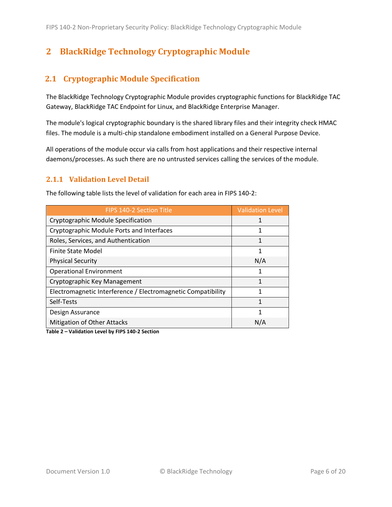# <span id="page-5-0"></span>**2 BlackRidge Technology Cryptographic Module**

# <span id="page-5-1"></span>**2.1 Cryptographic Module Specification**

The BlackRidge Technology Cryptographic Module provides cryptographic functions for BlackRidge TAC Gateway, BlackRidge TAC Endpoint for Linux, and BlackRidge Enterprise Manager.

The module's logical cryptographic boundary is the shared library files and their integrity check HMAC files. The module is a multi-chip standalone embodiment installed on a General Purpose Device.

All operations of the module occur via calls from host applications and their respective internal daemons/processes. As such there are no untrusted services calling the services of the module.

#### <span id="page-5-2"></span>**2.1.1 Validation Level Detail**

| <b>FIPS 140-2 Section Title</b>                              | <b>Validation Level</b> |
|--------------------------------------------------------------|-------------------------|
| Cryptographic Module Specification                           |                         |
| Cryptographic Module Ports and Interfaces                    | 1                       |
| Roles, Services, and Authentication                          |                         |
| <b>Finite State Model</b>                                    |                         |
| <b>Physical Security</b>                                     | N/A                     |
| <b>Operational Environment</b>                               |                         |
| Cryptographic Key Management                                 |                         |
| Electromagnetic Interference / Electromagnetic Compatibility | 1                       |
| Self-Tests                                                   | 1                       |
| Design Assurance                                             | 1                       |
| <b>Mitigation of Other Attacks</b>                           | N/A                     |

The following table lists the level of validation for each area in FIPS 140-2:

**Table 2 – Validation Level by FIPS 140-2 Section**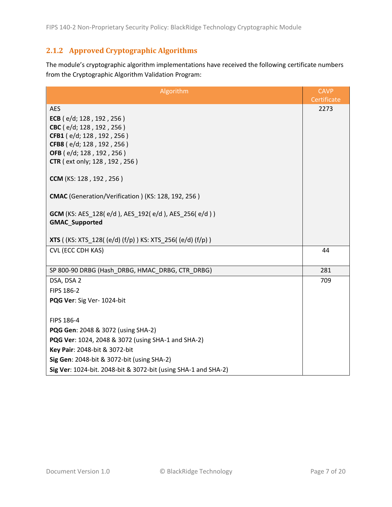# <span id="page-6-0"></span>**2.1.2 Approved Cryptographic Algorithms**

The module's cryptographic algorithm implementations have received the following certificate numbers from the Cryptographic Algorithm Validation Program:

| Algorithm                                                                          | <b>CAVP</b> |
|------------------------------------------------------------------------------------|-------------|
|                                                                                    | Certificate |
| <b>AES</b>                                                                         | 2273        |
| ECB (e/d; 128, 192, 256)                                                           |             |
| CBC (e/d; 128, 192, 256)                                                           |             |
| CFB1 (e/d; 128, 192, 256)                                                          |             |
| CFB8 (e/d; 128, 192, 256)                                                          |             |
| OFB (e/d; 128, 192, 256)                                                           |             |
| <b>CTR</b> (ext only; 128, 192, 256)                                               |             |
| CCM (KS: 128, 192, 256)                                                            |             |
| CMAC (Generation/Verification) (KS: 128, 192, 256)                                 |             |
| <b>GCM</b> (KS: AES_128(e/d), AES_192(e/d), AES_256(e/d))<br><b>GMAC_Supported</b> |             |
| <b>XTS</b> ((KS: XTS_128((e/d)(f/p)) KS: XTS_256((e/d)(f/p))                       |             |
| CVL (ECC CDH KAS)                                                                  | 44          |
|                                                                                    |             |
| SP 800-90 DRBG (Hash_DRBG, HMAC_DRBG, CTR_DRBG)                                    | 281         |
| DSA, DSA 2                                                                         | 709         |
| FIPS 186-2                                                                         |             |
| PQG Ver: Sig Ver- 1024-bit                                                         |             |
| FIPS 186-4                                                                         |             |
| PQG Gen: 2048 & 3072 (using SHA-2)                                                 |             |
| PQG Ver: 1024, 2048 & 3072 (using SHA-1 and SHA-2)                                 |             |
| Key Pair: 2048-bit & 3072-bit                                                      |             |
| Sig Gen: 2048-bit & 3072-bit (using SHA-2)                                         |             |
| Sig Ver: 1024-bit. 2048-bit & 3072-bit (using SHA-1 and SHA-2)                     |             |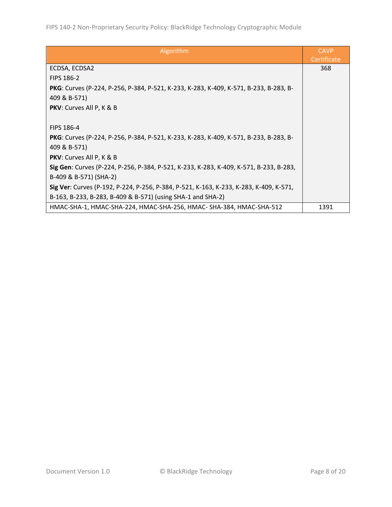| Algorithm                                                                              | <b>CAVP</b><br>Certificate |
|----------------------------------------------------------------------------------------|----------------------------|
| ECDSA, ECDSA2                                                                          | 368                        |
| <b>FIPS 186-2</b>                                                                      |                            |
| PKG: Curves (P-224, P-256, P-384, P-521, K-233, K-283, K-409, K-571, B-233, B-283, B-  |                            |
| 409 & B-571)                                                                           |                            |
| PKV: Curves All P, K & B                                                               |                            |
|                                                                                        |                            |
| <b>FIPS 186-4</b>                                                                      |                            |
| PKG: Curves (P-224, P-256, P-384, P-521, K-233, K-283, K-409, K-571, B-233, B-283, B-  |                            |
| 409 & B-571)                                                                           |                            |
| PKV: Curves All P, K & B                                                               |                            |
| Sig Gen: Curves (P-224, P-256, P-384, P-521, K-233, K-283, K-409, K-571, B-233, B-283, |                            |
| B-409 & B-571) (SHA-2)                                                                 |                            |
| Sig Ver: Curves (P-192, P-224, P-256, P-384, P-521, K-163, K-233, K-283, K-409, K-571, |                            |
| B-163, B-233, B-283, B-409 & B-571) (using SHA-1 and SHA-2)                            |                            |
| HMAC-SHA-1, HMAC-SHA-224, HMAC-SHA-256, HMAC-SHA-384, HMAC-SHA-512                     | 1391                       |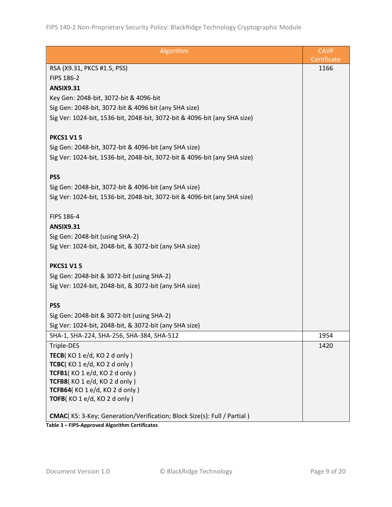| Algorithm                                                                       | <b>CAVP</b> |
|---------------------------------------------------------------------------------|-------------|
|                                                                                 | Certificate |
| RSA (X9.31, PKCS #1.5, PSS)                                                     | 1166        |
| FIPS 186-2                                                                      |             |
| <b>ANSIX9.31</b>                                                                |             |
| Key Gen: 2048-bit, 3072-bit & 4096-bit                                          |             |
| Sig Gen: 2048-bit, 3072-bit & 4096 bit (any SHA size)                           |             |
| Sig Ver: 1024-bit, 1536-bit, 2048-bit, 3072-bit & 4096-bit (any SHA size)       |             |
|                                                                                 |             |
| <b>PKCS1 V15</b>                                                                |             |
| Sig Gen: 2048-bit, 3072-bit & 4096-bit (any SHA size)                           |             |
| Sig Ver: 1024-bit, 1536-bit, 2048-bit, 3072-bit & 4096-bit (any SHA size)       |             |
|                                                                                 |             |
| <b>PSS</b>                                                                      |             |
| Sig Gen: 2048-bit, 3072-bit & 4096-bit (any SHA size)                           |             |
|                                                                                 |             |
| Sig Ver: 1024-bit, 1536-bit, 2048-bit, 3072-bit & 4096-bit (any SHA size)       |             |
|                                                                                 |             |
| FIPS 186-4                                                                      |             |
| <b>ANSIX9.31</b>                                                                |             |
| Sig Gen: 2048-bit (using SHA-2)                                                 |             |
| Sig Ver: 1024-bit, 2048-bit, & 3072-bit (any SHA size)                          |             |
|                                                                                 |             |
| <b>PKCS1 V15</b>                                                                |             |
| Sig Gen: 2048-bit & 3072-bit (using SHA-2)                                      |             |
| Sig Ver: 1024-bit, 2048-bit, & 3072-bit (any SHA size)                          |             |
|                                                                                 |             |
| <b>PSS</b>                                                                      |             |
| Sig Gen: 2048-bit & 3072-bit (using SHA-2)                                      |             |
| Sig Ver: 1024-bit, 2048-bit, & 3072-bit (any SHA size)                          |             |
| SHA-1, SHA-224, SHA-256, SHA-384, SHA-512                                       | 1954        |
| Triple-DES                                                                      | 1420        |
| TECB(KO1e/d, KO2d only)                                                         |             |
| TCBC(KO1e/d, KO2d only)                                                         |             |
| TCFB1(KO1e/d, KO2donly)                                                         |             |
| TCFB8(KO 1 e/d, KO 2 d only)                                                    |             |
| TCFB64(KO1e/d, KO2d only)                                                       |             |
| TOFB(KO 1 e/d, KO 2 d only)                                                     |             |
| <b>CMAC</b> (KS: 3-Key; Generation/Verification; Block Size(s): Full / Partial) |             |
|                                                                                 |             |

**Table 3 – FIPS-Approved Algorithm Certificates**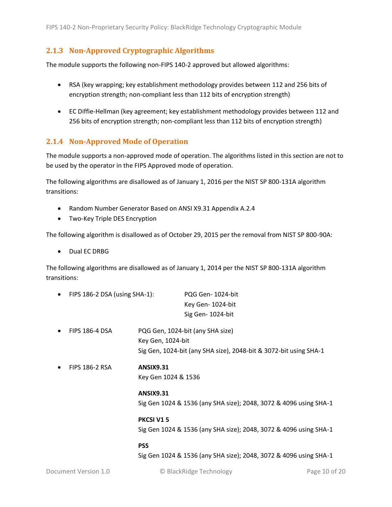#### <span id="page-9-0"></span>**2.1.3 Non-Approved Cryptographic Algorithms**

The module supports the following non-FIPS 140-2 approved but allowed algorithms:

- RSA (key wrapping; key establishment methodology provides between 112 and 256 bits of encryption strength; non-compliant less than 112 bits of encryption strength)
- EC Diffie-Hellman (key agreement; key establishment methodology provides between 112 and 256 bits of encryption strength; non-compliant less than 112 bits of encryption strength)

#### <span id="page-9-1"></span>**2.1.4 Non-Approved Mode of Operation**

The module supports a non-approved mode of operation. The algorithms listed in this section are not to be used by the operator in the FIPS Approved mode of operation.

The following algorithms are disallowed as of January 1, 2016 per the NIST SP 800-131A algorithm transitions:

- Random Number Generator Based on ANSI X9.31 Appendix A.2.4
- Two-Key Triple DES Encryption

The following algorithm is disallowed as of October 29, 2015 per the removal from NIST SP 800-90A:

• Dual EC DRBG

The following algorithms are disallowed as of January 1, 2014 per the NIST SP 800-131A algorithm transitions:

| $\bullet$ | FIPS 186-2 DSA (using SHA-1): |                     | PQG Gen-1024-bit                                                  |
|-----------|-------------------------------|---------------------|-------------------------------------------------------------------|
|           |                               |                     | Key Gen-1024-bit                                                  |
|           |                               |                     | Sig Gen-1024-bit                                                  |
| $\bullet$ | <b>FIPS 186-4 DSA</b>         |                     | PQG Gen, 1024-bit (any SHA size)                                  |
|           |                               | Key Gen, 1024-bit   |                                                                   |
|           |                               |                     | Sig Gen, 1024-bit (any SHA size), 2048-bit & 3072-bit using SHA-1 |
| $\bullet$ | <b>FIPS 186-2 RSA</b>         | <b>ANSIX9.31</b>    |                                                                   |
|           |                               | Key Gen 1024 & 1536 |                                                                   |
|           |                               | <b>ANSIX9.31</b>    |                                                                   |
|           |                               |                     | Sig Gen 1024 & 1536 (any SHA size); 2048, 3072 & 4096 using SHA-1 |
|           |                               | PKCSI V15           |                                                                   |
|           |                               |                     | Sig Gen 1024 & 1536 (any SHA size); 2048, 3072 & 4096 using SHA-1 |
|           |                               | <b>PSS</b>          |                                                                   |

Sig Gen 1024 & 1536 (any SHA size); 2048, 3072 & 4096 using SHA-1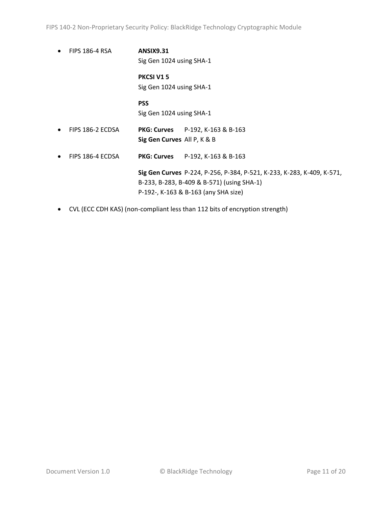FIPS 140-2 Non-Proprietary Security Policy: BlackRidge Technology Cryptographic Module

- FIPS 186-4 RSA **ANSIX9.31** Sig Gen 1024 using SHA-1 **PKCSI V1 5** Sig Gen 1024 using SHA-1 **PSS** Sig Gen 1024 using SHA-1 • FIPS 186-2 ECDSA **PKG: Curves** P-192, K-163 & B-163 **Sig Gen Curves** All P, K & B • FIPS 186-4 ECDSA **PKG: Curves** P-192, K-163 & B-163 **Sig Gen Curves** P-224, P-256, P-384, P-521, K-233, K-283, K-409, K-571, B-233, B-283, B-409 & B-571) (using SHA-1) P-192-, K-163 & B-163 (any SHA size)
- CVL (ECC CDH KAS) (non-compliant less than 112 bits of encryption strength)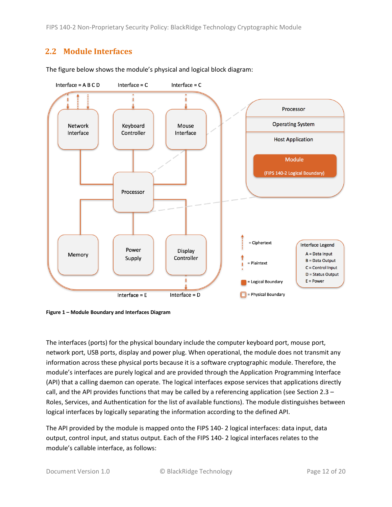FIPS 140-2 Non-Proprietary Security Policy: BlackRidge Technology Cryptographic Module

## <span id="page-11-0"></span>**2.2 Module Interfaces**



The figure below shows the module's physical and logical block diagram:

<span id="page-11-1"></span>

The interfaces (ports) for the physical boundary include the computer keyboard port, mouse port, network port, USB ports, display and power plug. When operational, the module does not transmit any information across these physical ports because it is a software cryptographic module. Therefore, the module's interfaces are purely logical and are provided through the Application Programming Interface (API) that a calling daemon can operate. The logical interfaces expose services that applications directly call, and the API provides functions that may be called by a referencing application (see Sectio[n 2.3](#page-12-0) – [Roles, Services, and Authentication](#page-12-0) for the list of available functions). The module distinguishes between logical interfaces by logically separating the information according to the defined API.

The API provided by the module is mapped onto the FIPS 140- 2 logical interfaces: data input, data output, control input, and status output. Each of the FIPS 140- 2 logical interfaces relates to the module's callable interface, as follows: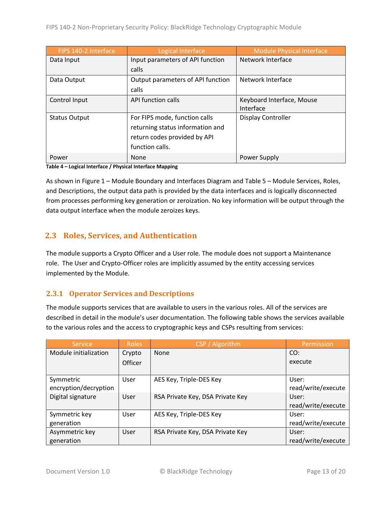| FIPS 140-2 Interface | Logical Interface                 | <b>Module Physical Interface</b> |
|----------------------|-----------------------------------|----------------------------------|
| Data Input           | Input parameters of API function  | Network Interface                |
|                      | calls                             |                                  |
| Data Output          | Output parameters of API function | Network Interface                |
|                      | calls                             |                                  |
| Control Input        | API function calls                | Keyboard Interface, Mouse        |
|                      |                                   | Interface                        |
| <b>Status Output</b> | For FIPS mode, function calls     | <b>Display Controller</b>        |
|                      | returning status information and  |                                  |
|                      | return codes provided by API      |                                  |
|                      | function calls.                   |                                  |
| Power                | None                              | Power Supply                     |

**Table 4 – Logical Interface / Physical Interface Mapping**

As shown in Figure 1 – [Module Boundary and Interfaces Diagram](#page-11-1) and Table 5 – Module [Services, Roles,](#page-13-3) [and Descriptions,](#page-13-3) the output data path is provided by the data interfaces and is logically disconnected from processes performing key generation or zeroization. No key information will be output through the data output interface when the module zeroizes keys.

# <span id="page-12-0"></span>**2.3 Roles, Services, and Authentication**

The module supports a Crypto Officer and a User role. The module does not support a Maintenance role. The User and Crypto-Officer roles are implicitly assumed by the entity accessing services implemented by the Module.

#### <span id="page-12-1"></span>**2.3.1 Operator Services and Descriptions**

The module supports services that are available to users in the various roles. All of the services are described in detail in the module's user documentation. The following table shows the services available to the various roles and the access to cryptographic keys and CSPs resulting from services:

| Service               | <b>Roles</b> | CSP / Algorithm                  | Permission         |
|-----------------------|--------------|----------------------------------|--------------------|
| Module initialization | Crypto       | None                             | CO:                |
|                       | Officer      |                                  | execute            |
|                       |              |                                  |                    |
| Symmetric             | User         | AES Key, Triple-DES Key          | User:              |
| encryption/decryption |              |                                  | read/write/execute |
| Digital signature     | User         | RSA Private Key, DSA Private Key | User:              |
|                       |              |                                  | read/write/execute |
| Symmetric key         | User         | AES Key, Triple-DES Key          | User:              |
| generation            |              |                                  | read/write/execute |
| Asymmetric key        | User         | RSA Private Key, DSA Private Key | User:              |
| generation            |              |                                  | read/write/execute |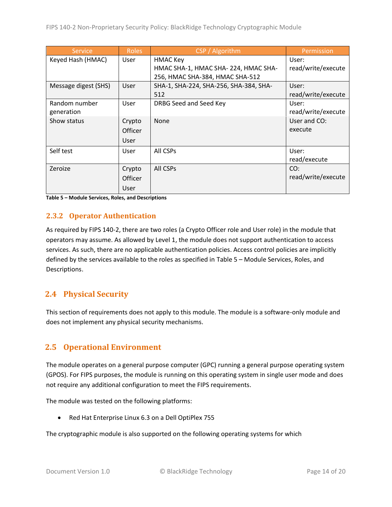| <b>Service</b>       | <b>Roles</b>   | CSP / Algorithm                        | Permission         |
|----------------------|----------------|----------------------------------------|--------------------|
| Keyed Hash (HMAC)    | User           | <b>HMAC Key</b>                        | User:              |
|                      |                | HMAC SHA-1, HMAC SHA-224, HMAC SHA-    | read/write/execute |
|                      |                | 256, HMAC SHA-384, HMAC SHA-512        |                    |
| Message digest (SHS) | User           | SHA-1, SHA-224, SHA-256, SHA-384, SHA- | User:              |
|                      |                | 512                                    | read/write/execute |
| Random number        | User           | DRBG Seed and Seed Key                 | User:              |
| generation           |                |                                        | read/write/execute |
| Show status          | Crypto         | None                                   | User and CO:       |
|                      | <b>Officer</b> |                                        | execute            |
|                      | User           |                                        |                    |
| Self test            | User           | All CSPs                               | User:              |
|                      |                |                                        | read/execute       |
| Zeroize              | Crypto         | All CSPs                               | CO:                |
|                      | <b>Officer</b> |                                        | read/write/execute |
|                      | User           |                                        |                    |

<span id="page-13-3"></span>**Table 5 – Module Services, Roles, and Descriptions**

#### <span id="page-13-0"></span>**2.3.2 Operator Authentication**

As required by FIPS 140-2, there are two roles (a Crypto Officer role and User role) in the module that operators may assume. As allowed by Level 1, the module does not support authentication to access services. As such, there are no applicable authentication policies. Access control policies are implicitly defined by the services available to the roles as specified in Table 5 – Module [Services, Roles,](#page-13-3) and [Descriptions.](#page-13-3)

### <span id="page-13-1"></span>**2.4 Physical Security**

This section of requirements does not apply to this module. The module is a software-only module and does not implement any physical security mechanisms.

### <span id="page-13-2"></span>**2.5 Operational Environment**

The module operates on a general purpose computer (GPC) running a general purpose operating system (GPOS). For FIPS purposes, the module is running on this operating system in single user mode and does not require any additional configuration to meet the FIPS requirements.

The module was tested on the following platforms:

• Red Hat Enterprise Linux 6.3 on a Dell OptiPlex 755

The cryptographic module is also supported on the following operating systems for which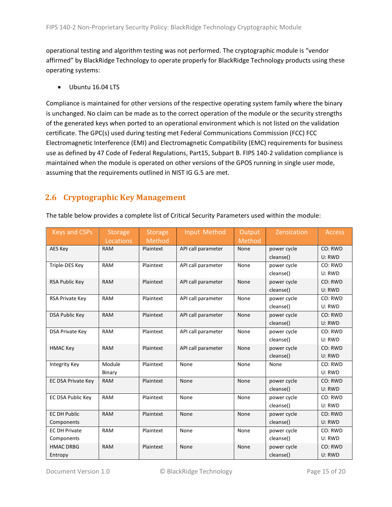operational testing and algorithm testing was not performed. The cryptographic module is "vendor affirmed" by BlackRidge Technology to operate properly for BlackRidge Technology products using these operating systems:

• Ubuntu 16.04 LTS

Compliance is maintained for other versions of the respective operating system family where the binary is unchanged. No claim can be made as to the correct operation of the module or the security strengths of the generated keys when ported to an operational environment which is not listed on the validation certificate. The GPC(s) used during testing met Federal Communications Commission (FCC) FCC Electromagnetic Interference (EMI) and Electromagnetic Compatibility (EMC) requirements for business use as defined by 47 Code of Federal Regulations, Part15, Subpart B. FIPS 140-2 validation compliance is maintained when the module is operated on other versions of the GPOS running in single user mode, assuming that the requirements outlined in NIST IG G.5 are met.

# <span id="page-14-0"></span>**2.6 Cryptographic Key Management**

| The table below provides a complete list of Critical Security Parameters used within the module: |  |
|--------------------------------------------------------------------------------------------------|--|
|                                                                                                  |  |

| <b>Keys and CSPs</b>      | <b>Storage</b> | <b>Storage</b> | Input Method       | Output | Zeroization | <b>Access</b> |
|---------------------------|----------------|----------------|--------------------|--------|-------------|---------------|
|                           | Locations      | Method         |                    | Method |             |               |
| AES Key                   | <b>RAM</b>     | Plaintext      | API call parameter | None   | power cycle | CO: RWD       |
|                           |                |                |                    |        | cleanse()   | U: RWD        |
| Triple-DES Key            | <b>RAM</b>     | Plaintext      | API call parameter | None   | power cycle | CO: RWD       |
|                           |                |                |                    |        | cleanse()   | U: RWD        |
| RSA Public Key            | <b>RAM</b>     | Plaintext      | API call parameter | None   | power cycle | CO: RWD       |
|                           |                |                |                    |        | cleanse()   | U: RWD        |
| RSA Private Key           | <b>RAM</b>     | Plaintext      | API call parameter | None   | power cycle | CO: RWD       |
|                           |                |                |                    |        | cleanse()   | U: RWD        |
| <b>DSA Public Key</b>     | <b>RAM</b>     | Plaintext      | API call parameter | None   | power cycle | CO: RWD       |
|                           |                |                |                    |        | cleanse()   | U: RWD        |
| <b>DSA Private Key</b>    | RAM            | Plaintext      | API call parameter | None   | power cycle | CO: RWD       |
|                           |                |                |                    |        | cleanse()   | U: RWD        |
| <b>HMAC Key</b>           | <b>RAM</b>     | Plaintext      | API call parameter | None   | power cycle | CO: RWD       |
|                           |                |                |                    |        | cleanse()   | U: RWD        |
| <b>Integrity Key</b>      | Module         | Plaintext      | None               | None   | None        | CO: RWD       |
|                           | Binary         |                |                    |        |             | U: RWD        |
| <b>EC DSA Private Key</b> | <b>RAM</b>     | Plaintext      | None               | None   | power cycle | CO: RWD       |
|                           |                |                |                    |        | cleanse()   | U: RWD        |
| EC DSA Public Key         | <b>RAM</b>     | Plaintext      | None               | None   | power cycle | CO: RWD       |
|                           |                |                |                    |        | cleanse()   | U: RWD        |
| <b>EC DH Public</b>       | <b>RAM</b>     | Plaintext      | None               | None   | power cycle | CO: RWD       |
| Components                |                |                |                    |        | cleanse()   | U: RWD        |
| <b>EC DH Private</b>      | <b>RAM</b>     | Plaintext      | None               | None   | power cycle | CO: RWD       |
| Components                |                |                |                    |        | cleanse()   | U: RWD        |
| <b>HMAC DRBG</b>          | <b>RAM</b>     | Plaintext      | None               | None   | power cycle | CO: RWD       |
| Entropy                   |                |                |                    |        | cleanse()   | U: RWD        |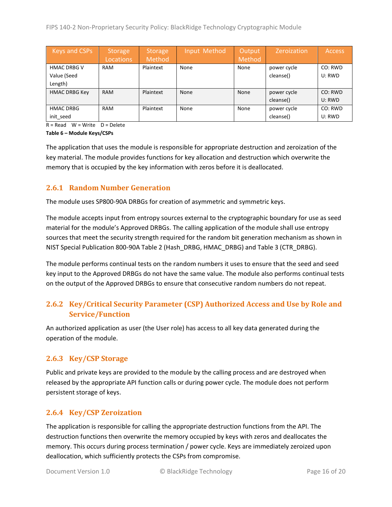| Keys and CSPs        | Storage<br>Locations | <b>Storage</b><br>Method | Input Method | Output<br>Method | Zeroization | <b>Access</b> |
|----------------------|----------------------|--------------------------|--------------|------------------|-------------|---------------|
| <b>HMAC DRBG V</b>   | <b>RAM</b>           | Plaintext                | None         | None             | power cycle | CO: RWD       |
| Value (Seed          |                      |                          |              |                  | cleanse()   | U: RWD        |
| Length)              |                      |                          |              |                  |             |               |
| <b>HMAC DRBG Key</b> | <b>RAM</b>           | Plaintext                | None         | None             | power cycle | CO: RWD       |
|                      |                      |                          |              |                  | cleanse()   | U: RWD        |
| <b>HMAC DRBG</b>     | <b>RAM</b>           | Plaintext                | None         | None             | power cycle | CO: RWD       |
| init_seed            |                      |                          |              |                  | cleanse()   | U: RWD        |

 $R = Read$  W = Write D = Delete

**Table 6 – Module Keys/CSPs**

The application that uses the module is responsible for appropriate destruction and zeroization of the key material. The module provides functions for key allocation and destruction which overwrite the memory that is occupied by the key information with zeros before it is deallocated.

#### <span id="page-15-0"></span>**2.6.1 Random Number Generation**

The module uses SP800-90A DRBGs for creation of asymmetric and symmetric keys.

The module accepts input from entropy sources external to the cryptographic boundary for use as seed material for the module's Approved DRBGs. The calling application of the module shall use entropy sources that meet the security strength required for the random bit generation mechanism as shown in NIST Special Publication 800-90A Table 2 (Hash\_DRBG, HMAC\_DRBG) and Table 3 (CTR\_DRBG).

The module performs continual tests on the random numbers it uses to ensure that the seed and seed key input to the Approved DRBGs do not have the same value. The module also performs continual tests on the output of the Approved DRBGs to ensure that consecutive random numbers do not repeat.

### <span id="page-15-1"></span>**2.6.2 Key/Critical Security Parameter (CSP) Authorized Access and Use by Role and Service/Function**

An authorized application as user (the User role) has access to all key data generated during the operation of the module.

#### <span id="page-15-2"></span>**2.6.3 Key/CSP Storage**

Public and private keys are provided to the module by the calling process and are destroyed when released by the appropriate API function calls or during power cycle. The module does not perform persistent storage of keys.

#### <span id="page-15-3"></span>**2.6.4 Key/CSP Zeroization**

The application is responsible for calling the appropriate destruction functions from the API. The destruction functions then overwrite the memory occupied by keys with zeros and deallocates the memory. This occurs during process termination / power cycle. Keys are immediately zeroized upon deallocation, which sufficiently protects the CSPs from compromise.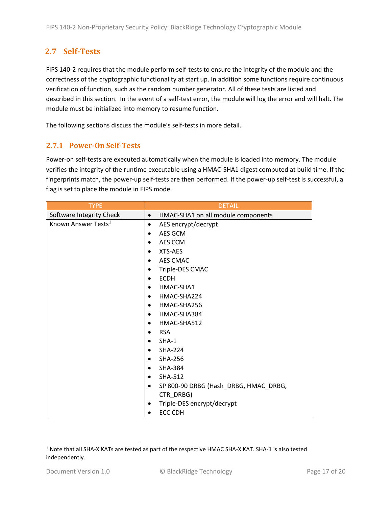# <span id="page-16-0"></span>**2.7 Self-Tests**

FIPS 140-2 requires that the module perform self-tests to ensure the integrity of the module and the correctness of the cryptographic functionality at start up. In addition some functions require continuous verification of function, such as the random number generator. All of these tests are listed and described in this section. In the event of a self-test error, the module will log the error and will halt. The module must be initialized into memory to resume function.

The following sections discuss the module's self-tests in more detail.

#### <span id="page-16-1"></span>**2.7.1 Power-On Self-Tests**

Power-on self-tests are executed automatically when the module is loaded into memory. The module verifies the integrity of the runtime executable using a HMAC-SHA1 digest computed at build time. If the fingerprints match, the power-up self-tests are then performed. If the power-up self-test is successful, a flag is set to place the module in FIPS mode.

| <b>TYPE</b>                     | <b>DETAIL</b>                                   |
|---------------------------------|-------------------------------------------------|
| Software Integrity Check        | HMAC-SHA1 on all module components<br>$\bullet$ |
| Known Answer Tests <sup>1</sup> | AES encrypt/decrypt<br>$\bullet$                |
|                                 | AES GCM                                         |
|                                 | AES CCM                                         |
|                                 | XTS-AES                                         |
|                                 | AES CMAC<br>$\bullet$                           |
|                                 | Triple-DES CMAC                                 |
|                                 | <b>ECDH</b><br>$\bullet$                        |
|                                 | HMAC-SHA1                                       |
|                                 | HMAC-SHA224                                     |
|                                 | HMAC-SHA256                                     |
|                                 | HMAC-SHA384                                     |
|                                 | HMAC-SHA512<br>٠                                |
|                                 | <b>RSA</b>                                      |
|                                 | SHA-1                                           |
|                                 | <b>SHA-224</b>                                  |
|                                 | <b>SHA-256</b>                                  |
|                                 | <b>SHA-384</b>                                  |
|                                 | SHA-512                                         |
|                                 | SP 800-90 DRBG (Hash_DRBG, HMAC_DRBG,           |
|                                 | CTR_DRBG)                                       |
|                                 | Triple-DES encrypt/decrypt                      |
|                                 | <b>ECC CDH</b>                                  |

 $\overline{a}$ 

<sup>1</sup> Note that all SHA-X KATs are tested as part of the respective HMAC SHA-X KAT. SHA-1 is also tested independently.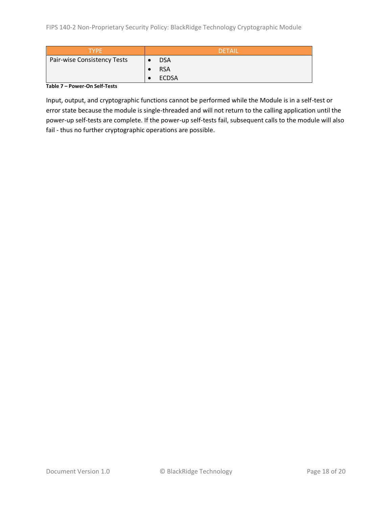| <b>TYPF</b>                 | <b>DETAIL</b>           |
|-----------------------------|-------------------------|
| Pair-wise Consistency Tests | <b>DSA</b><br>$\bullet$ |
|                             | <b>RSA</b>              |
|                             | ECDSA                   |

#### **Table 7 – Power-On Self-Tests**

Input, output, and cryptographic functions cannot be performed while the Module is in a self-test or error state because the module is single-threaded and will not return to the calling application until the power-up self-tests are complete. If the power-up self-tests fail, subsequent calls to the module will also fail - thus no further cryptographic operations are possible.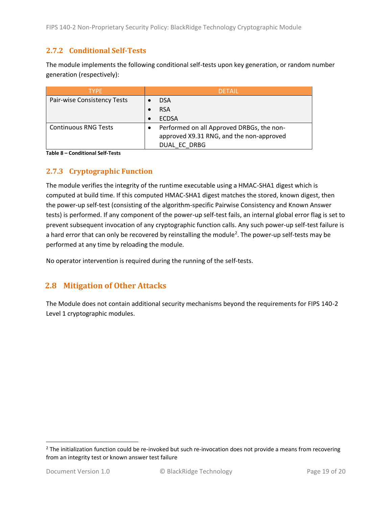#### <span id="page-18-0"></span>**2.7.2 Conditional Self-Tests**

The module implements the following conditional self-tests upon key generation, or random number generation (respectively):

| <b>TYPE</b>                 | <b>DETAIL</b>                             |
|-----------------------------|-------------------------------------------|
| Pair-wise Consistency Tests | <b>DSA</b>                                |
|                             | <b>RSA</b>                                |
|                             | <b>ECDSA</b>                              |
| <b>Continuous RNG Tests</b> | Performed on all Approved DRBGs, the non- |
|                             | approved X9.31 RNG, and the non-approved  |
|                             | DUAL EC DRBG                              |

**Table 8 – Conditional Self-Tests**

#### <span id="page-18-1"></span>**2.7.3 Cryptographic Function**

The module verifies the integrity of the runtime executable using a HMAC-SHA1 digest which is computed at build time. If this computed HMAC-SHA1 digest matches the stored, known digest, then the power-up self-test (consisting of the algorithm-specific Pairwise Consistency and Known Answer tests) is performed. If any component of the power-up self-test fails, an internal global error flag is set to prevent subsequent invocation of any cryptographic function calls. Any such power-up self-test failure is a hard error that can only be recovered by reinstalling the module<sup>2</sup>. The power-up self-tests may be performed at any time by reloading the module.

No operator intervention is required during the running of the self-tests.

### <span id="page-18-2"></span>**2.8 Mitigation of Other Attacks**

The Module does not contain additional security mechanisms beyond the requirements for FIPS 140-2 Level 1 cryptographic modules.

 $\overline{a}$ 

 $2$  The initialization function could be re-invoked but such re-invocation does not provide a means from recovering from an integrity test or known answer test failure